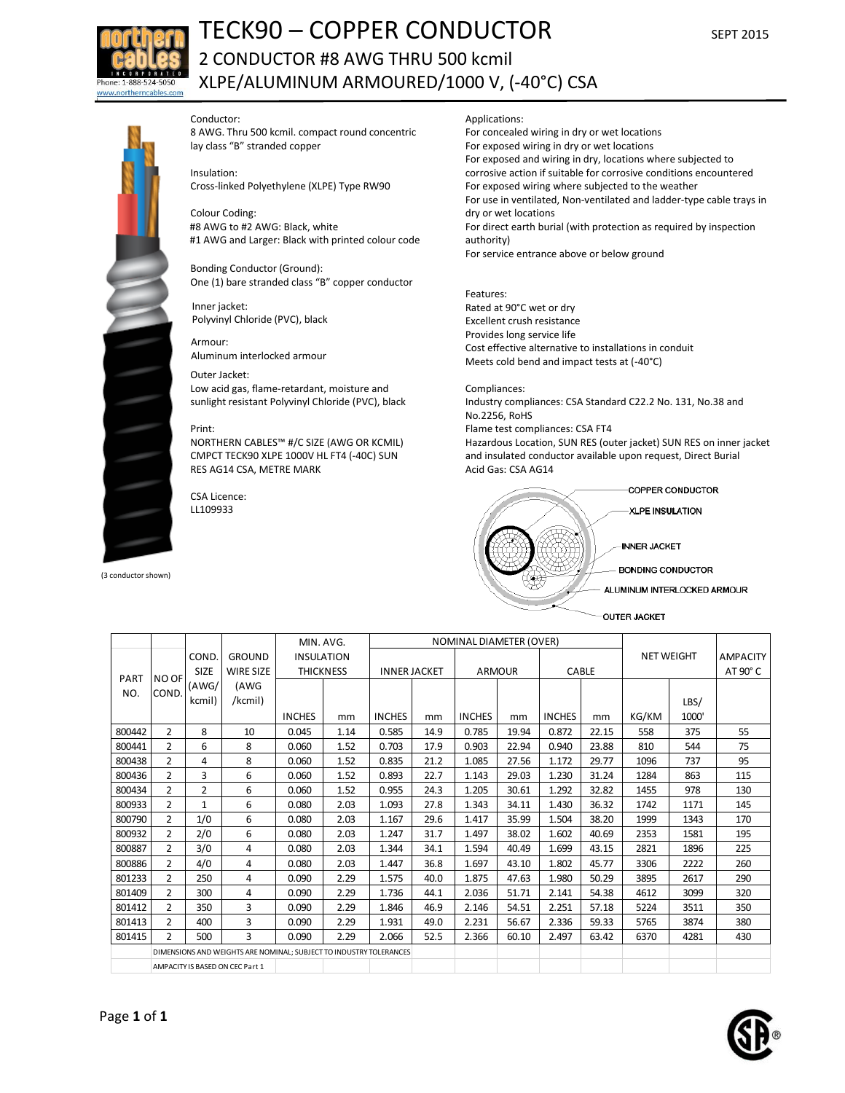

# TECK90 – COPPER CONDUCTOR SEPT <sup>2015</sup> 2 CONDUCTOR #8 AWG THRU 500 kcmil XLPE/ALUMINUM ARMOURED/1000 V, (-40°C) CSA

## Conductor:

8 AWG. Thru 500 kcmil. compact round concentric lay class "B" stranded copper

Insulation:

Cross-linked Polyethylene (XLPE) Type RW90

Colour Coding: #8 AWG to #2 AWG: Black, white #1 AWG and Larger: Black with printed colour code

Bonding Conductor (Ground): One (1) bare stranded class "B" copper conductor

Inner jacket: Polyvinyl Chloride (PVC), black

Armour: Aluminum interlocked armour

## Outer Jacket:

Low acid gas, flame-retardant, moisture and sunlight resistant Polyvinyl Chloride (PVC), black

#### Print:

NORTHERN CABLES™ #/C SIZE (AWG OR KCMIL) CMPCT TECK90 XLPE 1000V HL FT4 (-40C) SUN RES AG14 CSA, METRE MARK

CSA Licence: LL109933

(3 conductor shown)

#### Applications:

For concealed wiring in dry or wet locations For exposed wiring in dry or wet locations For exposed and wiring in dry, locations where subjected to corrosive action if suitable for corrosive conditions encountered For exposed wiring where subjected to the weather For use in ventilated, Non-ventilated and ladder-type cable trays in dry or wet locations For direct earth burial (with protection as required by inspection authority) For service entrance above or below ground

Features: Rated at 90°C wet or dry Excellent crush resistance Provides long service life Cost effective alternative to installations in conduit Meets cold bend and impact tests at (-40°C)

## Compliances:

Industry compliances: CSA Standard C22.2 No. 131, No.38 and No.2256, RoHS Flame test compliances: CSA FT4 Hazardous Location, SUN RES (outer jacket) SUN RES on inner jacket and insulated conductor available upon request, Direct Burial Acid Gas: CSA AG14



OUTER JACKET

|             |                                                                    |              |                  | MIN. AVG.         |      | <b>NOMINAL DIAMETER (OVER)</b> |      |               |       |               |                 | <b>NET WEIGHT</b> |       |                 |
|-------------|--------------------------------------------------------------------|--------------|------------------|-------------------|------|--------------------------------|------|---------------|-------|---------------|-----------------|-------------------|-------|-----------------|
| PART<br>NO. | <b>NO OF</b><br>COND.                                              | COND.        | <b>GROUND</b>    | <b>INSULATION</b> |      |                                |      |               |       |               | <b>AMPACITY</b> |                   |       |                 |
|             |                                                                    | <b>SIZE</b>  | <b>WIRE SIZE</b> | <b>THICKNESS</b>  |      | <b>INNER JACKET</b>            |      | <b>ARMOUR</b> |       | CABLE         |                 |                   |       | $AT 90^\circ C$ |
|             |                                                                    | (AWG/        | (AWG             |                   |      |                                |      |               |       |               |                 |                   |       |                 |
|             |                                                                    | kcmil)       | /kcmil)          |                   |      |                                |      |               |       |               |                 |                   | LBS/  |                 |
|             |                                                                    |              |                  | <b>INCHES</b>     | mm   | <b>INCHES</b>                  | mm   | <b>INCHES</b> | mm    | <b>INCHES</b> | mm              | KG/KM             | 1000' |                 |
| 800442      | $\overline{2}$                                                     | 8            | 10               | 0.045             | 1.14 | 0.585                          | 14.9 | 0.785         | 19.94 | 0.872         | 22.15           | 558               | 375   | 55              |
| 800441      | $\overline{2}$                                                     | 6            | 8                | 0.060             | 1.52 | 0.703                          | 17.9 | 0.903         | 22.94 | 0.940         | 23.88           | 810               | 544   | 75              |
| 800438      | $\overline{2}$                                                     | 4            | 8                | 0.060             | 1.52 | 0.835                          | 21.2 | 1.085         | 27.56 | 1.172         | 29.77           | 1096              | 737   | 95              |
| 800436      | 2                                                                  | 3            | 6                | 0.060             | 1.52 | 0.893                          | 22.7 | 1.143         | 29.03 | 1.230         | 31.24           | 1284              | 863   | 115             |
| 800434      | $\overline{2}$                                                     | 2            | 6                | 0.060             | 1.52 | 0.955                          | 24.3 | 1.205         | 30.61 | 1.292         | 32.82           | 1455              | 978   | 130             |
| 800933      | $\overline{2}$                                                     | $\mathbf{1}$ | 6                | 0.080             | 2.03 | 1.093                          | 27.8 | 1.343         | 34.11 | 1.430         | 36.32           | 1742              | 1171  | 145             |
| 800790      | $\overline{2}$                                                     | 1/0          | 6                | 0.080             | 2.03 | 1.167                          | 29.6 | 1.417         | 35.99 | 1.504         | 38.20           | 1999              | 1343  | 170             |
| 800932      | $\overline{2}$                                                     | 2/0          | 6                | 0.080             | 2.03 | 1.247                          | 31.7 | 1.497         | 38.02 | 1.602         | 40.69           | 2353              | 1581  | 195             |
| 800887      | 2                                                                  | 3/0          | 4                | 0.080             | 2.03 | 1.344                          | 34.1 | 1.594         | 40.49 | 1.699         | 43.15           | 2821              | 1896  | 225             |
| 800886      | 2                                                                  | 4/0          | 4                | 0.080             | 2.03 | 1.447                          | 36.8 | 1.697         | 43.10 | 1.802         | 45.77           | 3306              | 2222  | 260             |
| 801233      | $\overline{2}$                                                     | 250          | 4                | 0.090             | 2.29 | 1.575                          | 40.0 | 1.875         | 47.63 | 1.980         | 50.29           | 3895              | 2617  | 290             |
| 801409      | $\overline{2}$                                                     | 300          | 4                | 0.090             | 2.29 | 1.736                          | 44.1 | 2.036         | 51.71 | 2.141         | 54.38           | 4612              | 3099  | 320             |
| 801412      | $\overline{2}$                                                     | 350          | 3                | 0.090             | 2.29 | 1.846                          | 46.9 | 2.146         | 54.51 | 2.251         | 57.18           | 5224              | 3511  | 350             |
| 801413      | $\overline{2}$                                                     | 400          | 3                | 0.090             | 2.29 | 1.931                          | 49.0 | 2.231         | 56.67 | 2.336         | 59.33           | 5765              | 3874  | 380             |
| 801415      | $\overline{2}$                                                     | 500          | 3                | 0.090             | 2.29 | 2.066                          | 52.5 | 2.366         | 60.10 | 2.497         | 63.42           | 6370              | 4281  | 430             |
|             | DIMENSIONS AND WEIGHTS ARE NOMINAL; SUBJECT TO INDUSTRY TOLERANCES |              |                  |                   |      |                                |      |               |       |               |                 |                   |       |                 |
|             | AMPACITY IS BASED ON CEC Part 1                                    |              |                  |                   |      |                                |      |               |       |               |                 |                   |       |                 |

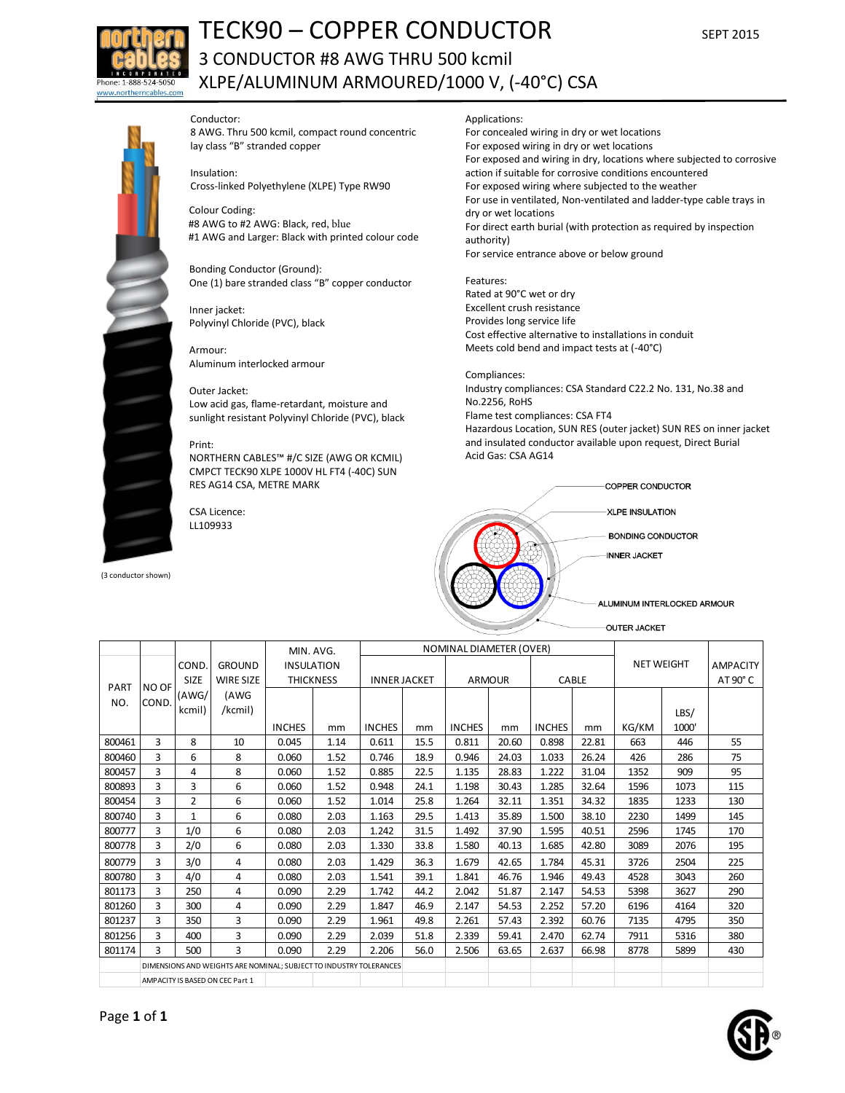

# TECK90 – COPPER CONDUCTOR SEPT 2015 3 CONDUCTOR #8 AWG THRU 500 kcmil XLPE/ALUMINUM ARMOURED/1000 V, (-40°C) CSA

## Conductor:

8 AWG. Thru 500 kcmil, compact round concentric lay class "B" stranded copper

Insulation:

Cross-linked Polyethylene (XLPE) Type RW90

Colour Coding: #8 AWG to #2 AWG: Black, red, blue #1 AWG and Larger: Black with printed colour code

Bonding Conductor (Ground): One (1) bare stranded class "B" copper conductor

Inner jacket: Polyvinyl Chloride (PVC), black

Armour: Aluminum interlocked armour

## Outer Jacket:

Low acid gas, flame-retardant, moisture and sunlight resistant Polyvinyl Chloride (PVC), black

#### Print:

NORTHERN CABLES™ #/C SIZE (AWG OR KCMIL) CMPCT TECK90 XLPE 1000V HL FT4 (-40C) SUN RES AG14 CSA, METRE MARK

CSA Licence: LL109933

(3 conductor shown)

# Applications:

For concealed wiring in dry or wet locations For exposed wiring in dry or wet locations For exposed and wiring in dry, locations where subjected to corrosive action if suitable for corrosive conditions encountered For exposed wiring where subjected to the weather For use in ventilated, Non-ventilated and ladder-type cable trays in dry or wet locations For direct earth burial (with protection as required by inspection authority) For service entrance above or below ground

Features: Rated at 90°C wet or dry Excellent crush resistance Provides long service life Cost effective alternative to installations in conduit Meets cold bend and impact tests at (-40°C)

## Compliances:

Industry compliances: CSA Standard C22.2 No. 131, No.38 and No.2256, RoHS Flame test compliances: CSA FT4 Hazardous Location, SUN RES (outer jacket) SUN RES on inner jacket and insulated conductor available upon request, Direct Burial Acid Gas: CSA AG14



|                    |                                                                    |                |                                 | MIN. AVG.         | NOMINAL DIAMETER (OVER) |               |                     |               |               |               |              |                   |       |          |
|--------------------|--------------------------------------------------------------------|----------------|---------------------------------|-------------------|-------------------------|---------------|---------------------|---------------|---------------|---------------|--------------|-------------------|-------|----------|
|                    | NO OF<br>COND.                                                     | COND.          | <b>GROUND</b>                   | <b>INSULATION</b> |                         |               |                     |               |               |               |              | <b>NET WEIGHT</b> |       | AMPACITY |
| <b>PART</b><br>NO. |                                                                    | <b>SIZE</b>    | <b>WIRE SIZE</b>                |                   | <b>THICKNESS</b>        |               | <b>INNER JACKET</b> |               | <b>ARMOUR</b> |               | <b>CABLE</b> |                   |       |          |
|                    |                                                                    | (AWG/          | (AWG                            |                   |                         |               |                     |               |               |               |              |                   |       |          |
|                    |                                                                    | kcmil)         | /kcmil)                         |                   |                         |               |                     |               |               |               |              |                   | LBS/  |          |
|                    |                                                                    |                |                                 | <b>INCHES</b>     | mm                      | <b>INCHES</b> | mm                  | <b>INCHES</b> | mm            | <b>INCHES</b> | mm           | KG/KM             | 1000' |          |
| 800461             | 3                                                                  | 8              | 10                              | 0.045             | 1.14                    | 0.611         | 15.5                | 0.811         | 20.60         | 0.898         | 22.81        | 663               | 446   | 55       |
| 800460             | 3                                                                  | 6              | 8                               | 0.060             | 1.52                    | 0.746         | 18.9                | 0.946         | 24.03         | 1.033         | 26.24        | 426               | 286   | 75       |
| 800457             | 3                                                                  | 4              | 8                               | 0.060             | 1.52                    | 0.885         | 22.5                | 1.135         | 28.83         | 1.222         | 31.04        | 1352              | 909   | 95       |
| 800893             | 3                                                                  | 3              | 6                               | 0.060             | 1.52                    | 0.948         | 24.1                | 1.198         | 30.43         | 1.285         | 32.64        | 1596              | 1073  | 115      |
| 800454             | 3                                                                  | $\overline{2}$ | 6                               | 0.060             | 1.52                    | 1.014         | 25.8                | 1.264         | 32.11         | 1.351         | 34.32        | 1835              | 1233  | 130      |
| 800740             | 3                                                                  | $\mathbf{1}$   | 6                               | 0.080             | 2.03                    | 1.163         | 29.5                | 1.413         | 35.89         | 1.500         | 38.10        | 2230              | 1499  | 145      |
| 800777             | 3                                                                  | 1/0            | 6                               | 0.080             | 2.03                    | 1.242         | 31.5                | 1.492         | 37.90         | 1.595         | 40.51        | 2596              | 1745  | 170      |
| 800778             | 3                                                                  | 2/0            | 6                               | 0.080             | 2.03                    | 1.330         | 33.8                | 1.580         | 40.13         | 1.685         | 42.80        | 3089              | 2076  | 195      |
| 800779             | 3                                                                  | 3/0            | 4                               | 0.080             | 2.03                    | 1.429         | 36.3                | 1.679         | 42.65         | 1.784         | 45.31        | 3726              | 2504  | 225      |
| 800780             | 3                                                                  | 4/0            | 4                               | 0.080             | 2.03                    | 1.541         | 39.1                | 1.841         | 46.76         | 1.946         | 49.43        | 4528              | 3043  | 260      |
| 801173             | 3                                                                  | 250            | 4                               | 0.090             | 2.29                    | 1.742         | 44.2                | 2.042         | 51.87         | 2.147         | 54.53        | 5398              | 3627  | 290      |
| 801260             | 3                                                                  | 300            | 4                               | 0.090             | 2.29                    | 1.847         | 46.9                | 2.147         | 54.53         | 2.252         | 57.20        | 6196              | 4164  | 320      |
| 801237             | 3                                                                  | 350            | 3                               | 0.090             | 2.29                    | 1.961         | 49.8                | 2.261         | 57.43         | 2.392         | 60.76        | 7135              | 4795  | 350      |
| 801256             | 3                                                                  | 400            | 3                               | 0.090             | 2.29                    | 2.039         | 51.8                | 2.339         | 59.41         | 2.470         | 62.74        | 7911              | 5316  | 380      |
| 801174             | $\mathbf{R}$                                                       | 500            | 3                               | 0.090             | 2.29                    | 2.206         | 56.0                | 2.506         | 63.65         | 2.637         | 66.98        | 8778              | 5899  | 430      |
|                    | DIMENSIONS AND WEIGHTS ARE NOMINAL; SUBJECT TO INDUSTRY TOLERANCES |                |                                 |                   |                         |               |                     |               |               |               |              |                   |       |          |
|                    |                                                                    |                | AMPACITY IS BASED ON CEC Part 1 |                   |                         |               |                     |               |               |               |              |                   |       |          |